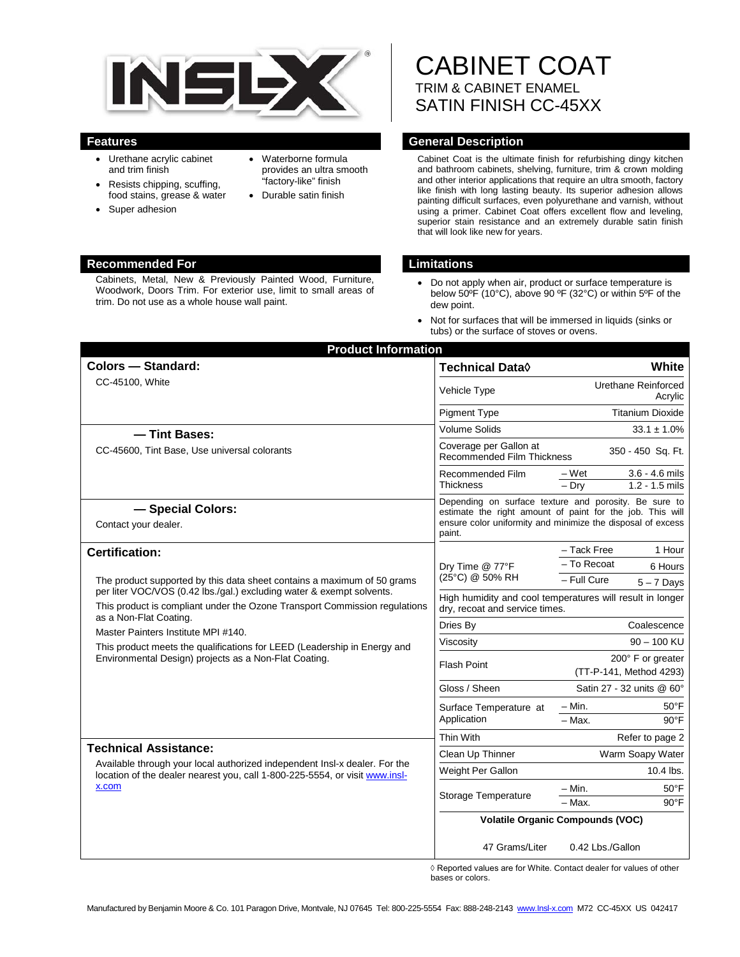

- Urethane acrylic cabinet and trim finish
- Resists chipping, scuffing, food stains, grease & water
- Super adhesion
- Waterborne formula provides an ultra smooth "factory-like" finish
- Durable satin finish

## **Recommended For Limitations**

Cabinets, Metal, New & Previously Painted Wood, Furniture, Woodwork, Doors Trim. For exterior use, limit to small areas of trim. Do not use as a whole house wall paint.

CABINET COAT TRIM & CABINET ENAMEL SATIN FINISH CC-45XX

## **Features General Description**

Cabinet Coat is the ultimate finish for refurbishing dingy kitchen and bathroom cabinets, shelving, furniture, trim & crown molding and other interior applications that require an ultra smooth, factory like finish with long lasting beauty. Its superior adhesion allows painting difficult surfaces, even polyurethane and varnish, without using a primer. Cabinet Coat offers excellent flow and leveling, superior stain resistance and an extremely durable satin finish that will look like new for years.

- Do not apply when air, product or surface temperature is below 50ºF (10°C), above 90 ºF (32°C) or within 5ºF of the dew point.
- Not for surfaces that will be immersed in liquids (sinks or tubs) or the surface of stoves or ovens.

| <b>Product Information</b><br><b>Colors - Standard:</b>                                                                                                                                                                                                                                                                                                                                                                                                       |                                                                                                                                                                                             | White                          |
|---------------------------------------------------------------------------------------------------------------------------------------------------------------------------------------------------------------------------------------------------------------------------------------------------------------------------------------------------------------------------------------------------------------------------------------------------------------|---------------------------------------------------------------------------------------------------------------------------------------------------------------------------------------------|--------------------------------|
|                                                                                                                                                                                                                                                                                                                                                                                                                                                               | Technical Data <sup>0</sup>                                                                                                                                                                 |                                |
| CC-45100, White                                                                                                                                                                                                                                                                                                                                                                                                                                               | Vehicle Type                                                                                                                                                                                | Urethane Reinforced<br>Acrylic |
|                                                                                                                                                                                                                                                                                                                                                                                                                                                               | <b>Pigment Type</b>                                                                                                                                                                         | <b>Titanium Dioxide</b>        |
| - Tint Bases:                                                                                                                                                                                                                                                                                                                                                                                                                                                 | <b>Volume Solids</b>                                                                                                                                                                        | $33.1 \pm 1.0\%$               |
| CC-45600, Tint Base, Use universal colorants                                                                                                                                                                                                                                                                                                                                                                                                                  | Coverage per Gallon at<br><b>Recommended Film Thickness</b>                                                                                                                                 | 350 - 450 Sq. Ft.              |
|                                                                                                                                                                                                                                                                                                                                                                                                                                                               | Recommended Film<br><b>Thickness</b>                                                                                                                                                        | – Wet<br>$3.6 - 4.6$ mils      |
|                                                                                                                                                                                                                                                                                                                                                                                                                                                               |                                                                                                                                                                                             | $-$ Drv<br>$1.2 - 1.5$ mils    |
| - Special Colors:<br>Contact your dealer.                                                                                                                                                                                                                                                                                                                                                                                                                     | Depending on surface texture and porosity. Be sure to<br>estimate the right amount of paint for the job. This will<br>ensure color uniformity and minimize the disposal of excess<br>paint. |                                |
| <b>Certification:</b><br>The product supported by this data sheet contains a maximum of 50 grams<br>per liter VOC/VOS (0.42 lbs./gal.) excluding water & exempt solvents.<br>This product is compliant under the Ozone Transport Commission regulations<br>as a Non-Flat Coating.<br>Master Painters Institute MPI #140.<br>This product meets the qualifications for LEED (Leadership in Energy and<br>Environmental Design) projects as a Non-Flat Coating. | Dry Time @ 77°F<br>(25°C) @ 50% RH                                                                                                                                                          | - Tack Free<br>1 Hour          |
|                                                                                                                                                                                                                                                                                                                                                                                                                                                               |                                                                                                                                                                                             | - To Recoat<br>6 Hours         |
|                                                                                                                                                                                                                                                                                                                                                                                                                                                               |                                                                                                                                                                                             | - Full Cure<br>$5 - 7$ Days    |
|                                                                                                                                                                                                                                                                                                                                                                                                                                                               | High humidity and cool temperatures will result in longer<br>dry, recoat and service times.                                                                                                 |                                |
|                                                                                                                                                                                                                                                                                                                                                                                                                                                               | Dries By                                                                                                                                                                                    | Coalescence                    |
|                                                                                                                                                                                                                                                                                                                                                                                                                                                               | Viscosity                                                                                                                                                                                   | $90 - 100$ KU                  |
|                                                                                                                                                                                                                                                                                                                                                                                                                                                               | <b>Flash Point</b>                                                                                                                                                                          | 200° F or greater              |
|                                                                                                                                                                                                                                                                                                                                                                                                                                                               |                                                                                                                                                                                             | (TT-P-141, Method 4293)        |
|                                                                                                                                                                                                                                                                                                                                                                                                                                                               | Gloss / Sheen                                                                                                                                                                               | Satin 27 - 32 units @ 60°      |
|                                                                                                                                                                                                                                                                                                                                                                                                                                                               | Surface Temperature at<br>Application                                                                                                                                                       | $-$ Min.<br>$50^{\circ}$ F     |
|                                                                                                                                                                                                                                                                                                                                                                                                                                                               |                                                                                                                                                                                             | - Max.<br>$90^{\circ}$ F       |
|                                                                                                                                                                                                                                                                                                                                                                                                                                                               | Thin With                                                                                                                                                                                   | Refer to page 2                |
| <b>Technical Assistance:</b><br>Available through your local authorized independent Insl-x dealer. For the<br>location of the dealer nearest you, call 1-800-225-5554, or visit www.insl-<br>x.com                                                                                                                                                                                                                                                            | Clean Up Thinner                                                                                                                                                                            | Warm Soapy Water               |
|                                                                                                                                                                                                                                                                                                                                                                                                                                                               | Weight Per Gallon                                                                                                                                                                           | $10.4$ lbs.                    |
|                                                                                                                                                                                                                                                                                                                                                                                                                                                               | Storage Temperature                                                                                                                                                                         | $-$ Min.<br>$50^{\circ}$ F     |
|                                                                                                                                                                                                                                                                                                                                                                                                                                                               |                                                                                                                                                                                             | $90^{\circ}$ F<br>- Max.       |
|                                                                                                                                                                                                                                                                                                                                                                                                                                                               | <b>Volatile Organic Compounds (VOC)</b>                                                                                                                                                     |                                |
|                                                                                                                                                                                                                                                                                                                                                                                                                                                               | 47 Grams/Liter                                                                                                                                                                              | 0.42 Lbs./Gallon               |

◊ Reported values are for White. Contact dealer for values of other bases or colors.